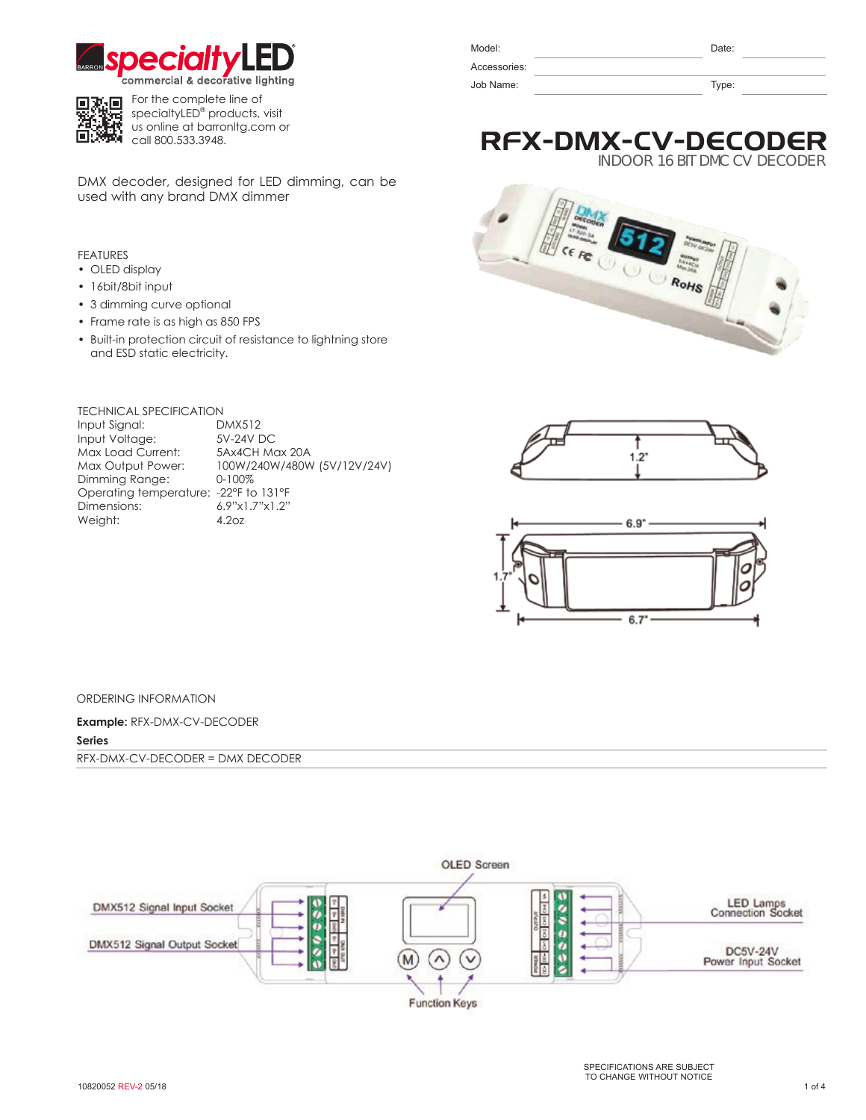



**For the complete line of** specialtyLED® products, visit us online at barronltg.com or call 800.533.3948.

DMX decoder, designed for LED dimming, can be used with any brand DMX dimmer

# FEATURES

- OLED display
- 16bit/8bit input
- 3 dimming curve optional
- Frame rate is as high as 850 FPS
- Built-in protection circuit of resistance to lightning store and ESD static electricity.

## TECHNICAL SPECIFICATION

Input Signal: DMX512 Input Voltage: 5V-24V DC<br>
Max Load Current: 5Ax4CH Max 20A Max Load Current:<br>Max Output Power: Dimming Range: Operating temperature: -22°F to 131°F Dimensions: 6.9"x1.7"x1.2"<br>Weight: 4.2oz Weight:

100W/240W/480W (5V/12V/24V)<br>0-100%

| Model:       | Date: |  |
|--------------|-------|--|
| Accessories: |       |  |
| Job Name:    | Type: |  |

# RFX-DMX-CV-DECODER

INDOOR 16 BIT DMC CV DECODE







#### ORDERING INFORMATION

**Example:** RFX-DMX-CV-DECODER **Series**

RFX-DMX-CV-DECODER = DMX DECODER

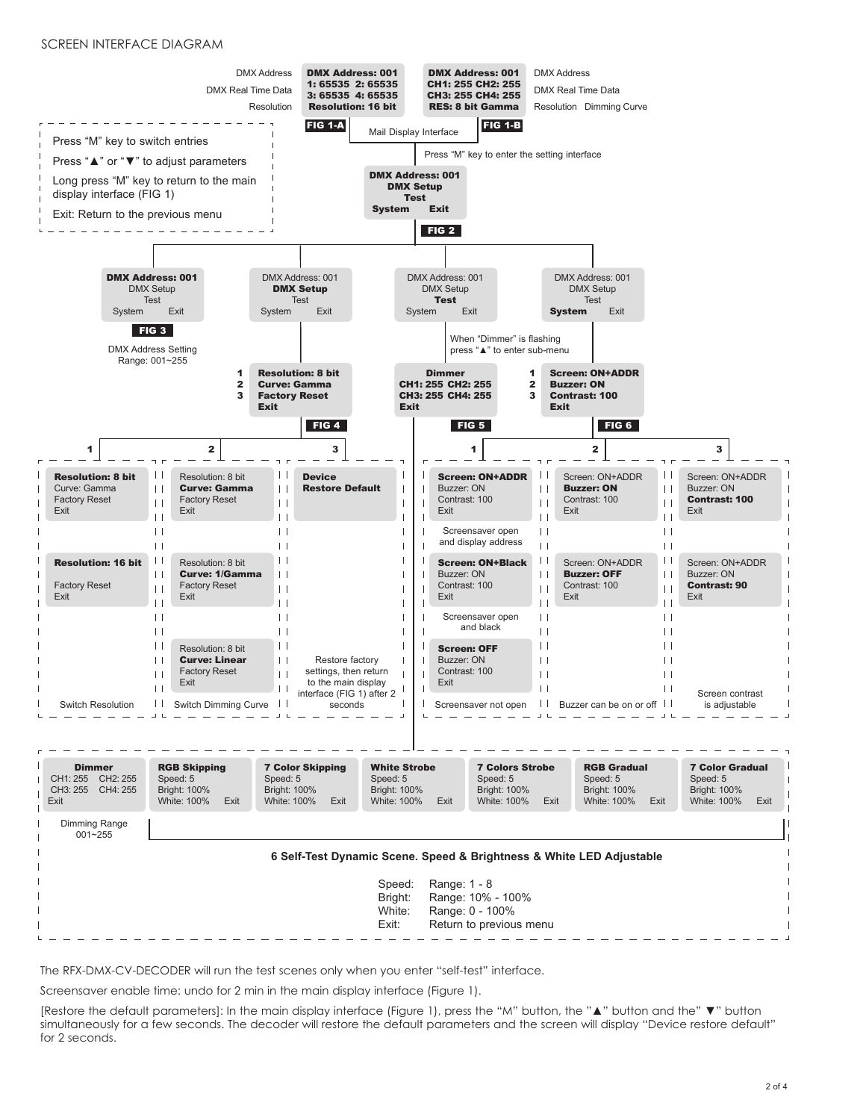#### SCREEN INTERFACE DIAGRAM



The RFX-DMX-CV-DECODER will run the test scenes only when you enter "self-test" interface.

Screensaver enable time: undo for 2 min in the main display interface (Figure 1).

[Restore the default parameters]: In the main display interface (Figure 1), press the "M" button, the "▲" button and the" ▼" button simultaneously for a few seconds. The decoder will restore the default parameters and the screen will display "Device restore default" for 2 seconds.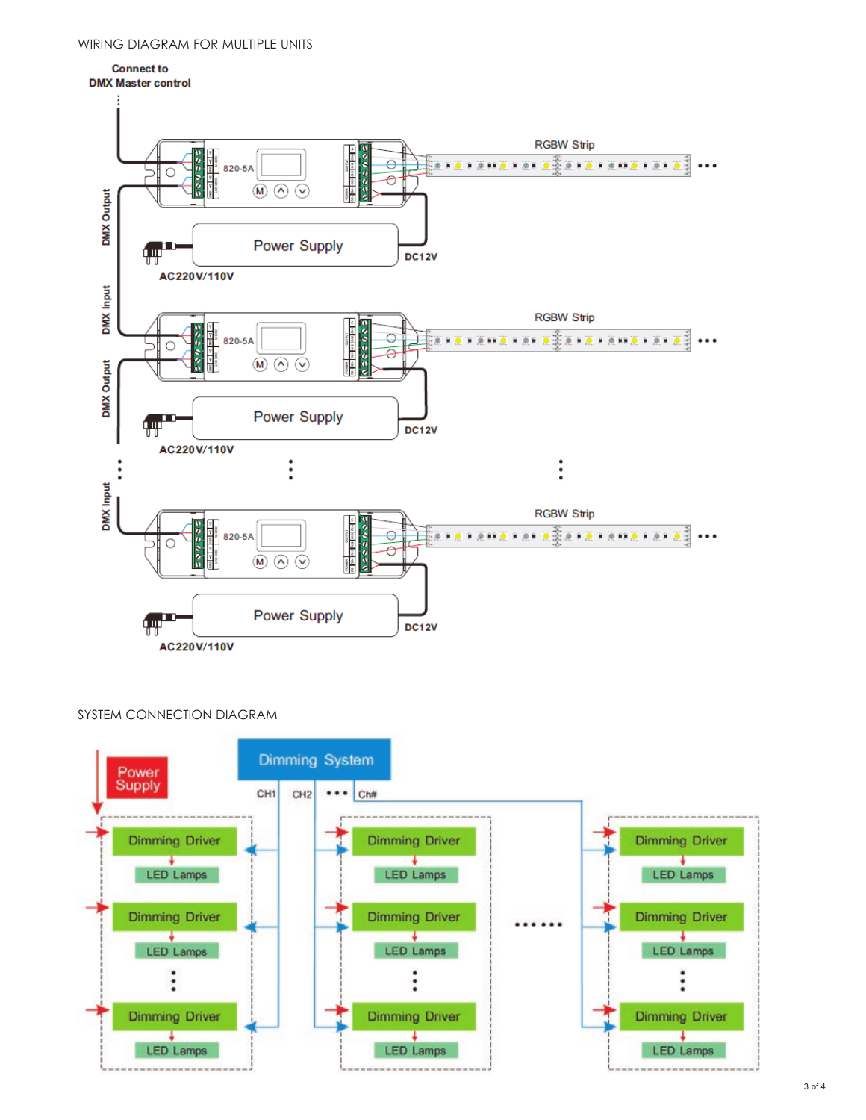

SYSTEM CONNECTION DIAGRAM